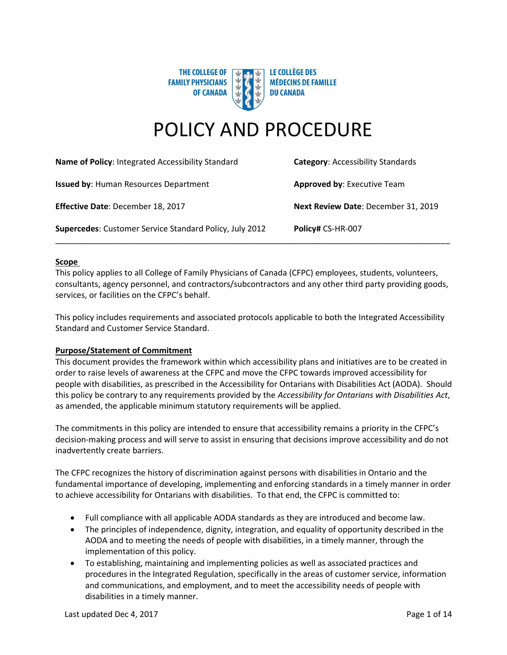

# POLICY AND PROCEDURE

| Name of Policy: Integrated Accessibility Standard       | <b>Category:</b> Accessibility Standards |
|---------------------------------------------------------|------------------------------------------|
| <b>Issued by: Human Resources Department</b>            | <b>Approved by: Executive Team</b>       |
| Effective Date: December 18, 2017                       | Next Review Date: December 31, 2019      |
| Supercedes: Customer Service Standard Policy, July 2012 | Policy# CS-HR-007                        |

## **Scope**

This policy applies to all College of Family Physicians of Canada (CFPC) employees, students, volunteers, consultants, agency personnel, and contractors/subcontractors and any other third party providing goods, services, or facilities on the CFPC's behalf.

This policy includes requirements and associated protocols applicable to both the Integrated Accessibility Standard and Customer Service Standard.

## **Purpose/Statement of Commitment**

This document provides the framework within which accessibility plans and initiatives are to be created in order to raise levels of awareness at the CFPC and move the CFPC towards improved accessibility for people with disabilities, as prescribed in the Accessibility for Ontarians with Disabilities Act (AODA). Should this policy be contrary to any requirements provided by the *Accessibility for Ontarians with Disabilities Act*, as amended, the applicable minimum statutory requirements will be applied.

The commitments in this policy are intended to ensure that accessibility remains a priority in the CFPC's decision-making process and will serve to assist in ensuring that decisions improve accessibility and do not inadvertently create barriers.

The CFPC recognizes the history of discrimination against persons with disabilities in Ontario and the fundamental importance of developing, implementing and enforcing standards in a timely manner in order to achieve accessibility for Ontarians with disabilities. To that end, the CFPC is committed to:

- Full compliance with all applicable AODA standards as they are introduced and become law.
- The principles of independence, dignity, integration, and equality of opportunity described in the AODA and to meeting the needs of people with disabilities, in a timely manner, through the implementation of this policy.
- To establishing, maintaining and implementing policies as well as associated practices and procedures in the Integrated Regulation, specifically in the areas of customer service, information and communications, and employment, and to meet the accessibility needs of people with disabilities in a timely manner.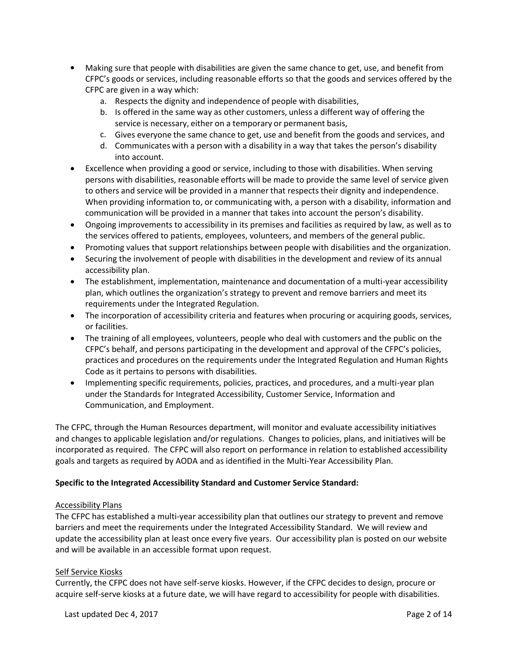- Making sure that people with disabilities are given the same chance to get, use, and benefit from CFPC's goods or services, including reasonable efforts so that the goods and services offered by the CFPC are given in a way which:
	- a. Respects the dignity and independence of people with disabilities,
	- b. Is offered in the same way as other customers, unless a different way of offering the service is necessary, either on a temporary or permanent basis,
	- c. Gives everyone the same chance to get, use and benefit from the goods and services, and
	- d. Communicates with a person with a disability in a way that takes the person's disability into account.
- Excellence when providing a good or service, including to those with disabilities. When serving persons with disabilities, reasonable efforts will be made to provide the same level of service given to others and service will be provided in a manner that respects their dignity and independence. When providing information to, or communicating with, a person with a disability, information and communication will be provided in a manner that takes into account the person's disability.
- Ongoing improvements to accessibility in its premises and facilities as required by law, as well as to the services offered to patients, employees, volunteers, and members of the general public.
- Promoting values that support relationships between people with disabilities and the organization.
- Securing the involvement of people with disabilities in the development and review of its annual accessibility plan.
- The establishment, implementation, maintenance and documentation of a multi-year accessibility plan, which outlines the organization's strategy to prevent and remove barriers and meet its requirements under the Integrated Regulation.
- The incorporation of accessibility criteria and features when procuring or acquiring goods, services, or facilities.
- The training of all employees, volunteers, people who deal with customers and the public on the CFPC's behalf, and persons participating in the development and approval of the CFPC's policies, practices and procedures on the requirements under the Integrated Regulation and Human Rights Code as it pertains to persons with disabilities.
- Implementing specific requirements, policies, practices, and procedures, and a multi-year plan under the Standards for Integrated Accessibility, Customer Service, Information and Communication, and Employment.

The CFPC, through the Human Resources department, will monitor and evaluate accessibility initiatives and changes to applicable legislation and/or regulations. Changes to policies, plans, and initiatives will be incorporated as required. The CFPC will also report on performance in relation to established accessibility goals and targets as required by AODA and as identified in the Multi-Year Accessibility Plan.

# **Specific to the Integrated Accessibility Standard and Customer Service Standard:**

# Accessibility Plans

The CFPC has established a multi-year accessibility plan that outlines our strategy to prevent and remove barriers and meet the requirements under the Integrated Accessibility Standard. We will review and update the accessibility plan at least once every five years. Our accessibility plan is posted on our website and will be available in an accessible format upon request.

# Self Service Kiosks

Currently, the CFPC does not have self-serve kiosks. However, if the CFPC decides to design, procure or acquire self-serve kiosks at a future date, we will have regard to accessibility for people with disabilities.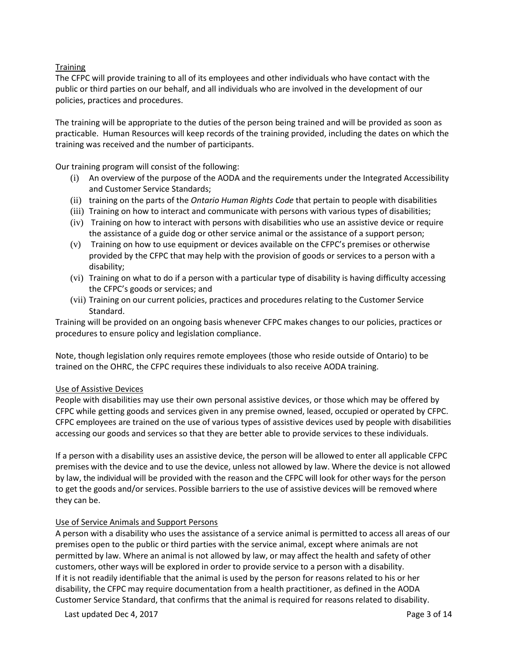# **Training**

The CFPC will provide training to all of its employees and other individuals who have contact with the public or third parties on our behalf, and all individuals who are involved in the development of our policies, practices and procedures.

The training will be appropriate to the duties of the person being trained and will be provided as soon as practicable. Human Resources will keep records of the training provided, including the dates on which the training was received and the number of participants.

Our training program will consist of the following:

- (i) An overview of the purpose of the AODA and the requirements under the Integrated Accessibility and Customer Service Standards;
- (ii) training on the parts of the *Ontario Human Rights Code* that pertain to people with disabilities
- (iii) Training on how to interact and communicate with persons with various types of disabilities;
- (iv) Training on how to interact with persons with disabilities who use an assistive device or require the assistance of a guide dog or other service animal or the assistance of a support person;
- (v) Training on how to use equipment or devices available on the CFPC's premises or otherwise provided by the CFPC that may help with the provision of goods or services to a person with a disability;
- (vi) Training on what to do if a person with a particular type of disability is having difficulty accessing the CFPC's goods or services; and
- (vii) Training on our current policies, practices and procedures relating to the Customer Service Standard.

Training will be provided on an ongoing basis whenever CFPC makes changes to our policies, practices or procedures to ensure policy and legislation compliance.

Note, though legislation only requires remote employees (those who reside outside of Ontario) to be trained on the OHRC, the CFPC requires these individuals to also receive AODA training.

# Use of Assistive Devices

People with disabilities may use their own personal assistive devices, or those which may be offered by CFPC while getting goods and services given in any premise owned, leased, occupied or operated by CFPC. CFPC employees are trained on the use of various types of assistive devices used by people with disabilities accessing our goods and services so that they are better able to provide services to these individuals.

If a person with a disability uses an assistive device, the person will be allowed to enter all applicable CFPC premises with the device and to use the device, unless not allowed by law. Where the device is not allowed by law, the individual will be provided with the reason and the CFPC will look for other ways for the person to get the goods and/or services. Possible barriers to the use of assistive devices will be removed where they can be.

# Use of Service Animals and Support Persons

A person with a disability who uses the assistance of a service animal is permitted to access all areas of our premises open to the public or third parties with the service animal, except where animals are not permitted by law. Where an animal is not allowed by law, or may affect the health and safety of other customers, other ways will be explored in order to provide service to a person with a disability. If it is not readily identifiable that the animal is used by the person for reasons related to his or her disability, the CFPC may require documentation from a health practitioner, as defined in the AODA Customer Service Standard, that confirms that the animal is required for reasons related to disability.

Last updated Dec 4, 2017 **Page 3 of 14**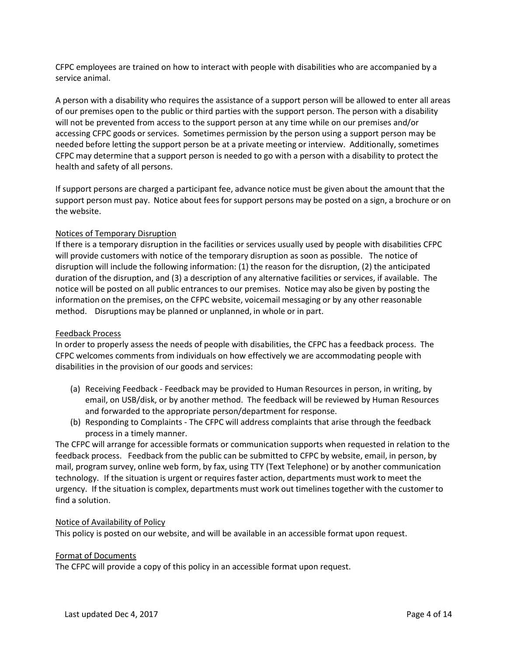CFPC employees are trained on how to interact with people with disabilities who are accompanied by a service animal.

A person with a disability who requires the assistance of a support person will be allowed to enter all areas of our premises open to the public or third parties with the support person. The person with a disability will not be prevented from access to the support person at any time while on our premises and/or accessing CFPC goods or services. Sometimes permission by the person using a support person may be needed before letting the support person be at a private meeting or interview. Additionally, sometimes CFPC may determine that a support person is needed to go with a person with a disability to protect the health and safety of all persons.

If support persons are charged a participant fee, advance notice must be given about the amount that the support person must pay. Notice about fees for support persons may be posted on a sign, a brochure or on the website.

## Notices of Temporary Disruption

If there is a temporary disruption in the facilities or services usually used by people with disabilities CFPC will provide customers with notice of the temporary disruption as soon as possible. The notice of disruption will include the following information: (1) the reason for the disruption, (2) the anticipated duration of the disruption, and (3) a description of any alternative facilities or services, if available. The notice will be posted on all public entrances to our premises. Notice may also be given by posting the information on the premises, on the CFPC website, voicemail messaging or by any other reasonable method. Disruptions may be planned or unplanned, in whole or in part.

#### Feedback Process

In order to properly assess the needs of people with disabilities, the CFPC has a feedback process. The CFPC welcomes comments from individuals on how effectively we are accommodating people with disabilities in the provision of our goods and services:

- (a) Receiving Feedback Feedback may be provided to Human Resources in person, in writing, by email, on USB/disk, or by another method. The feedback will be reviewed by Human Resources and forwarded to the appropriate person/department for response.
- (b) Responding to Complaints The CFPC will address complaints that arise through the feedback process in a timely manner.

The CFPC will arrange for accessible formats or communication supports when requested in relation to the feedback process. Feedback from the public can be submitted to CFPC by website, email, in person, by mail, program survey, online web form, by fax, using TTY (Text Telephone) or by another communication technology. If the situation is urgent or requires faster action, departments must work to meet the urgency. If the situation is complex, departments must work out timelines together with the customer to find a solution.

## Notice of Availability of Policy

This policy is posted on our website, and will be available in an accessible format upon request.

#### Format of Documents

The CFPC will provide a copy of this policy in an accessible format upon request.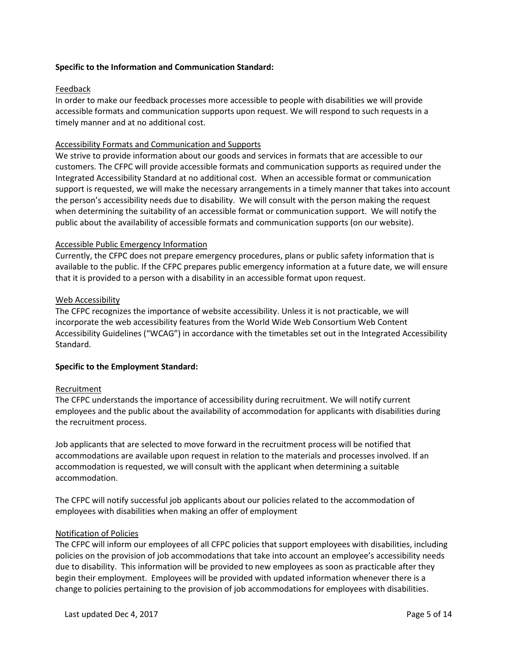# **Specific to the Information and Communication Standard:**

# Feedback

In order to make our feedback processes more accessible to people with disabilities we will provide accessible formats and communication supports upon request. We will respond to such requests in a timely manner and at no additional cost.

# Accessibility Formats and Communication and Supports

We strive to provide information about our goods and services in formats that are accessible to our customers. The CFPC will provide accessible formats and communication supports as required under the Integrated Accessibility Standard at no additional cost. When an accessible format or communication support is requested, we will make the necessary arrangements in a timely manner that takes into account the person's accessibility needs due to disability. We will consult with the person making the request when determining the suitability of an accessible format or communication support. We will notify the public about the availability of accessible formats and communication supports (on our website).

## Accessible Public Emergency Information

Currently, the CFPC does not prepare emergency procedures, plans or public safety information that is available to the public. If the CFPC prepares public emergency information at a future date, we will ensure that it is provided to a person with a disability in an accessible format upon request.

## Web Accessibility

The CFPC recognizes the importance of website accessibility. Unless it is not practicable, we will incorporate the web accessibility features from the World Wide Web Consortium Web Content Accessibility Guidelines ("WCAG") in accordance with the timetables set out in the Integrated Accessibility Standard.

## **Specific to the Employment Standard:**

## Recruitment

The CFPC understands the importance of accessibility during recruitment. We will notify current employees and the public about the availability of accommodation for applicants with disabilities during the recruitment process.

Job applicants that are selected to move forward in the recruitment process will be notified that accommodations are available upon request in relation to the materials and processes involved. If an accommodation is requested, we will consult with the applicant when determining a suitable accommodation.

The CFPC will notify successful job applicants about our policies related to the accommodation of employees with disabilities when making an offer of employment

## Notification of Policies

The CFPC will inform our employees of all CFPC policies that support employees with disabilities, including policies on the provision of job accommodations that take into account an employee's accessibility needs due to disability. This information will be provided to new employees as soon as practicable after they begin their employment. Employees will be provided with updated information whenever there is a change to policies pertaining to the provision of job accommodations for employees with disabilities.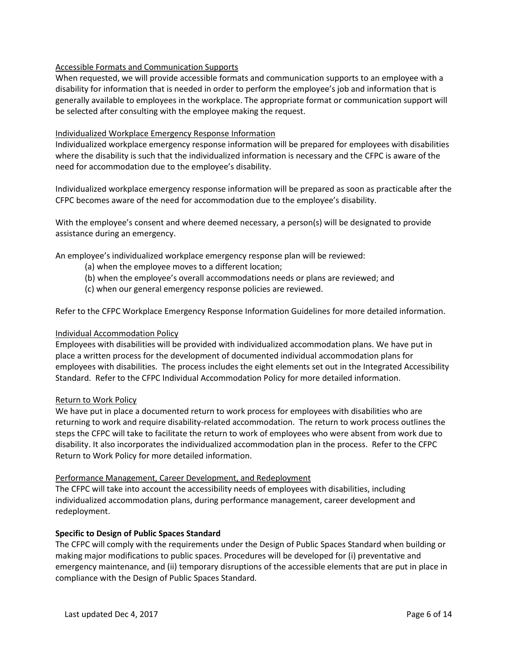# Accessible Formats and Communication Supports

When requested, we will provide accessible formats and communication supports to an employee with a disability for information that is needed in order to perform the employee's job and information that is generally available to employees in the workplace. The appropriate format or communication support will be selected after consulting with the employee making the request.

# Individualized Workplace Emergency Response Information

Individualized workplace emergency response information will be prepared for employees with disabilities where the disability is such that the individualized information is necessary and the CFPC is aware of the need for accommodation due to the employee's disability.

Individualized workplace emergency response information will be prepared as soon as practicable after the CFPC becomes aware of the need for accommodation due to the employee's disability.

With the employee's consent and where deemed necessary, a person(s) will be designated to provide assistance during an emergency.

An employee's individualized workplace emergency response plan will be reviewed:

- (a) when the employee moves to a different location;
- (b) when the employee's overall accommodations needs or plans are reviewed; and
- (c) when our general emergency response policies are reviewed.

Refer to the CFPC Workplace Emergency Response Information Guidelines for more detailed information.

# Individual Accommodation Policy

Employees with disabilities will be provided with individualized accommodation plans. We have put in place a written process for the development of documented individual accommodation plans for employees with disabilities. The process includes the eight elements set out in the Integrated Accessibility Standard. Refer to the CFPC Individual Accommodation Policy for more detailed information.

# Return to Work Policy

We have put in place a documented return to work process for employees with disabilities who are returning to work and require disability-related accommodation. The return to work process outlines the steps the CFPC will take to facilitate the return to work of employees who were absent from work due to disability. It also incorporates the individualized accommodation plan in the process. Refer to the CFPC Return to Work Policy for more detailed information.

# Performance Management, Career Development, and Redeployment

The CFPC will take into account the accessibility needs of employees with disabilities, including individualized accommodation plans, during performance management, career development and redeployment.

# **Specific to Design of Public Spaces Standard**

The CFPC will comply with the requirements under the Design of Public Spaces Standard when building or making major modifications to public spaces. Procedures will be developed for (i) preventative and emergency maintenance, and (ii) temporary disruptions of the accessible elements that are put in place in compliance with the Design of Public Spaces Standard.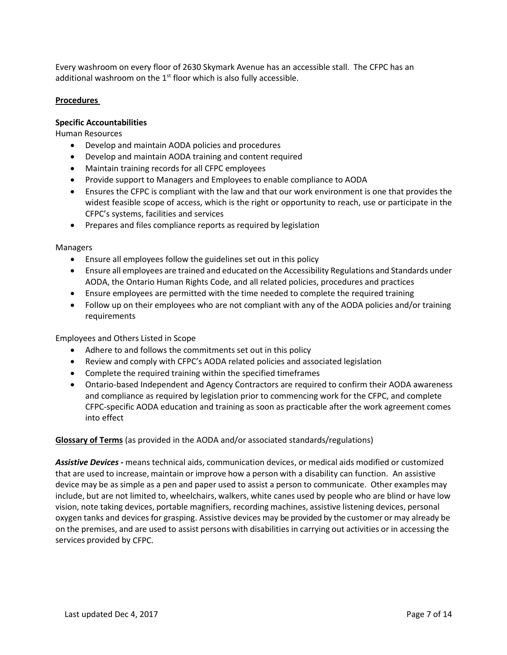Every washroom on every floor of 2630 Skymark Avenue has an accessible stall. The CFPC has an additional washroom on the  $1<sup>st</sup>$  floor which is also fully accessible.

# **Procedures**

## **Specific Accountabilities**

Human Resources

- Develop and maintain AODA policies and procedures
- Develop and maintain AODA training and content required
- Maintain training records for all CFPC employees
- Provide support to Managers and Employees to enable compliance to AODA
- Ensures the CFPC is compliant with the law and that our work environment is one that provides the widest feasible scope of access, which is the right or opportunity to reach, use or participate in the CFPC's systems, facilities and services
- Prepares and files compliance reports as required by legislation

Managers

- Ensure all employees follow the guidelines set out in this policy
- Ensure all employees are trained and educated on the Accessibility Regulations and Standards under AODA, the Ontario Human Rights Code, and all related policies, procedures and practices
- Ensure employees are permitted with the time needed to complete the required training
- Follow up on their employees who are not compliant with any of the AODA policies and/or training requirements

Employees and Others Listed in Scope

- Adhere to and follows the commitments set out in this policy
- Review and comply with CFPC's AODA related policies and associated legislation
- Complete the required training within the specified timeframes
- Ontario-based Independent and Agency Contractors are required to confirm their AODA awareness and compliance as required by legislation prior to commencing work for the CFPC, and complete CFPC-specific AODA education and training as soon as practicable after the work agreement comes into effect

## **Glossary of Terms** (as provided in the AODA and/or associated standards/regulations)

*Assistive Devices -* means technical aids, communication devices, or medical aids modified or customized that are used to increase, maintain or improve how a person with a disability can function. An assistive device may be as simple as a pen and paper used to assist a person to communicate. Other examples may include, but are not limited to, wheelchairs, walkers, white canes used by people who are blind or have low vision, note taking devices, portable magnifiers, recording machines, assistive listening devices, personal oxygen tanks and devices for grasping. Assistive devices may be provided by the customer or may already be on the premises, and are used to assist persons with disabilities in carrying out activities or in accessing the services provided by CFPC.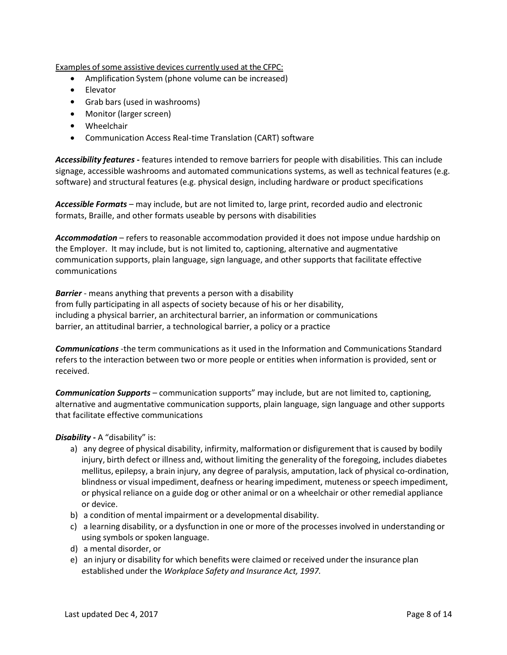Examples of some assistive devices currently used at the CFPC:

- Amplification System (phone volume can be increased)
- Elevator
- Grab bars (used in washrooms)
- Monitor (larger screen)
- Wheelchair
- Communication Access Real-time Translation (CART) software

*Accessibility features* **-** features intended to remove barriers for people with disabilities. This can include signage, accessible washrooms and automated communications systems, as well as technical features (e.g. software) and structural features (e.g. physical design, including hardware or product specifications

*Accessible Formats* – may include, but are not limited to, large print, recorded audio and electronic formats, Braille, and other formats useable by persons with disabilities

*Accommodation* – refers to reasonable accommodation provided it does not impose undue hardship on the Employer. It may include, but is not limited to, captioning, alternative and augmentative communication supports, plain language, sign language, and other supports that facilitate effective communications

*Barrier* - means anything that prevents a person with a disability from fully participating in all aspects of society because of his or her disability, including a physical barrier, an architectural barrier, an information or communications barrier, an attitudinal barrier, a technological barrier, a policy or a practice

*Communications* -the term communications as it used in the Information and Communications Standard refers to the interaction between two or more people or entities when information is provided, sent or received.

*Communication Supports* – communication supports" may include, but are not limited to, captioning, alternative and augmentative communication supports, plain language, sign language and other supports that facilitate effective communications

*Disability* **-** A "disability" is:

- a) any degree of physical disability, infirmity, malformation or disfigurement that is caused by bodily injury, birth defect or illness and, without limiting the generality of the foregoing, includes diabetes mellitus, epilepsy, a brain injury, any degree of paralysis, amputation, lack of physical co-ordination, blindness or visual impediment, deafness or hearing impediment, muteness or speech impediment, or physical reliance on a guide dog or other animal or on a wheelchair or other remedial appliance or device.
- b) a condition of mental impairment or a developmental disability.
- c) a learning disability, or a dysfunction in one or more of the processesinvolved in understanding or using symbols or spoken language.
- d) a mental disorder, or
- e) an injury or disability for which benefits were claimed or received under the insurance plan established under the *Workplace Safety and Insurance Act, 1997.*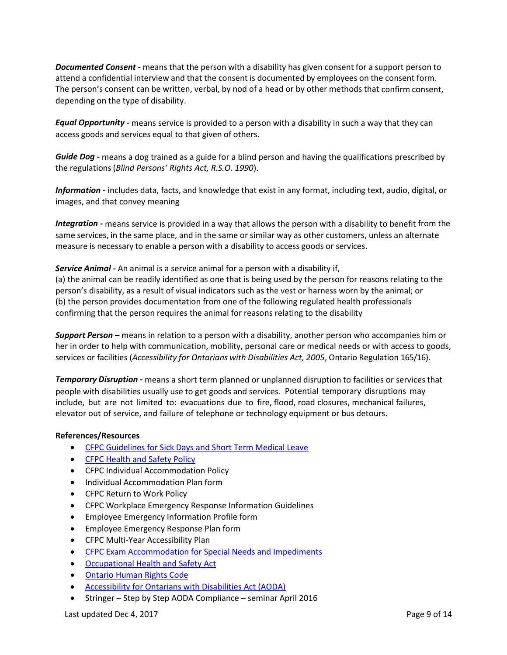*Documented Consent* **-** means that the person with a disability has given consent for a support person to attend a confidential interview and that the consent is documented by employees on the consent form. The person's consent can be written, verbal, by nod of a head or by other methods that confirm consent, depending on the type of disability.

*Equal Opportunity* **-** means service is provided to a person with a disability in such a way that they can access goods and services equal to that given of others.

*Guide Dog* **-** means a dog trained as a guide for a blind person and having the qualifications prescribed by the regulations(*Blind Persons' Rights Act, R.S.O. 1990*).

*Information -* includes data, facts, and knowledge that exist in any format, including text, audio, digital, or images, and that convey meaning

*Integration* **-** means service is provided in a way that allows the person with a disability to benefit from the same services, in the same place, and in the same or similar way as other customers, unless an alternate measure is necessary to enable a person with a disability to access goods or services.

*Service Animal -* An animal is a service animal for a person with a disability if,

(a) the animal can be readily identified as one that is being used by the person for reasons relating to the person's disability, as a result of visual indicators such as the vest or harness worn by the animal; or (b) the person provides documentation from one of the following regulated health professionals confirming that the person requires the animal for reasons relating to the disability

*Support Person* **–** means in relation to a person with a disability, another person who accompanies him or her in order to help with communication, mobility, personal care or medical needs or with access to goods, services or facilities (*Accessibility for Ontarians with Disabilities Act, 2005*, Ontario Regulation 165/16).

*Temporary Disruption* **-** means a short term planned or unplanned disruption to facilities or servicesthat people with disabilities usually use to get goods and services. Potential temporary disruptions may include, but are not limited to: evacuations due to fire, flood, road closures, mechanical failures, elevator out of service, and failure of telephone or technology equipment or bus detours.

## **References/Resources**

- [CFPC Guidelines for Sick Days and Short Term Medical Leave](https://intranet.cfpc.ca/departments/corpaffairs/hr/hrcorner/General%20Human%20Resources/sick%20leave%20and%20STML.pdf)
- [CFPC Health and Safety Policy](https://intranet.cfpc.ca/resource/Resources/Health%20and%20Safety%20Policy%20Dec%202015.pdf)
- CFPC Individual Accommodation Policy
- Individual Accommodation Plan form
- CFPC Return to Work Policy
- CFPC Workplace Emergency Response Information Guidelines
- Employee Emergency Information Profile form
- Employee Emergency Response Plan form
- CFPC Multi-Year Accessibility Plan
- [CFPC Exam Accommodation for Special Needs and Impediments](http://www.cfpc.ca/uploadedFiles/Education/Exam_Information/Policy_on_Accommodation_for_Special_Needs.pdf)
- [Occupational Health and Safety Act](http://www.labour.gov.on.ca/english/hs/pubs/ohsa/)
- [Ontario Human Rights Code](http://www.ohrc.on.ca/en/ontario-human-rights-code)
- [Accessibility for Ontarians with Disabilities Act \(AODA\)](http://www.aoda.ca/)
- Stringer Step by Step AODA Compliance seminar April 2016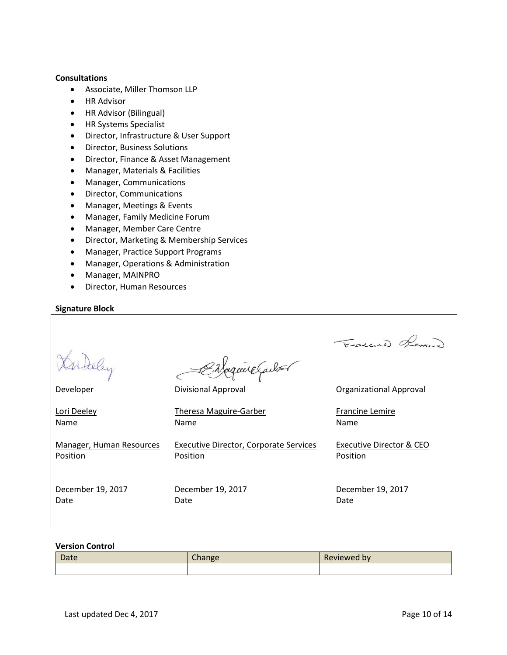# **Consultations**

- Associate, Miller Thomson LLP
- HR Advisor
- HR Advisor (Bilingual)
- HR Systems Specialist
- Director, Infrastructure & User Support
- Director, Business Solutions
- Director, Finance & Asset Management
- Manager, Materials & Facilities
- Manager, Communications
- Director, Communications
- Manager, Meetings & Events
- Manager, Family Medicine Forum
- Manager, Member Care Centre
- Director, Marketing & Membership Services
- Manager, Practice Support Programs
- Manager, Operations & Administration
- Manager, MAINPRO
- Director, Human Resources

## **Signature Block**

|                          |                                        | Fraccio Rem.                   |
|--------------------------|----------------------------------------|--------------------------------|
|                          | Enfaquire Carbon                       |                                |
| Developer                | <b>Divisional Approval</b>             | <b>Organizational Approval</b> |
| Lori Deeley              | <b>Theresa Maguire-Garber</b>          | <b>Francine Lemire</b>         |
| Name                     | Name                                   | Name                           |
| Manager, Human Resources | Executive Director, Corporate Services | Executive Director & CEO       |
| Position                 | Position                               | Position                       |
| December 19, 2017        | December 19, 2017                      | December 19, 2017              |
| Date                     | Date                                   | Date                           |

## **Version Control**

| Date | $\sim$<br>$\sqrt{2}$ nange | Reviewed by |
|------|----------------------------|-------------|
|      |                            |             |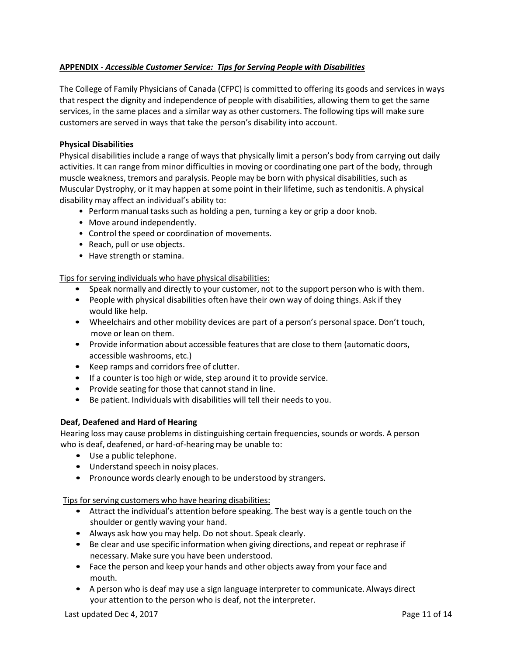# **APPENDIX** - *Accessible Customer Service: Tips for Serving People with Disabilities*

The College of Family Physicians of Canada (CFPC) is committed to offering its goods and services in ways that respect the dignity and independence of people with disabilities, allowing them to get the same services, in the same places and a similar way as other customers. The following tips will make sure customers are served in ways that take the person's disability into account.

# **Physical Disabilities**

Physical disabilities include a range of ways that physically limit a person's body from carrying out daily activities. It can range from minor difficulties in moving or coordinating one part of the body, through muscle weakness, tremors and paralysis. People may be born with physical disabilities, such as Muscular Dystrophy, or it may happen at some point in their lifetime, such as tendonitis. A physical disability may affect an individual's ability to:

- Perform manual tasks such as holding a pen, turning a key or grip a door knob.
- Move around independently.
- Control the speed or coordination of movements.
- Reach, pull or use objects.
- Have strength or stamina.

Tips for serving individuals who have physical disabilities:

- Speak normally and directly to your customer, not to the support person who is with them.
- People with physical disabilities often have their own way of doing things. Ask if they would like help.
- Wheelchairs and other mobility devices are part of a person's personal space. Don't touch, move or lean on them.
- Provide information about accessible features that are close to them (automatic doors, accessible washrooms, etc.)
- Keep ramps and corridors free of clutter.
- If a counter is too high or wide, step around it to provide service.
- Provide seating for those that cannot stand in line.
- Be patient. Individuals with disabilities will tell their needs to you.

# **Deaf, Deafened and Hard of Hearing**

Hearing loss may cause problems in distinguishing certain frequencies, sounds or words. A person who is deaf, deafened, or hard-of-hearing may be unable to:

- Use a public telephone.
- Understand speech in noisy places.
- Pronounce words clearly enough to be understood by strangers.

## Tips for serving customers who have hearing disabilities:

- Attract the individual's attention before speaking. The best way is a gentle touch on the shoulder or gently waving your hand.
- Always ask how you may help. Do not shout. Speak clearly.
- Be clear and use specific information when giving directions, and repeat or rephrase if necessary. Make sure you have been understood.
- Face the person and keep your hands and other objects away from your face and mouth.
- A person who is deaf may use a sign language interpreter to communicate. Always direct your attention to the person who is deaf, not the interpreter.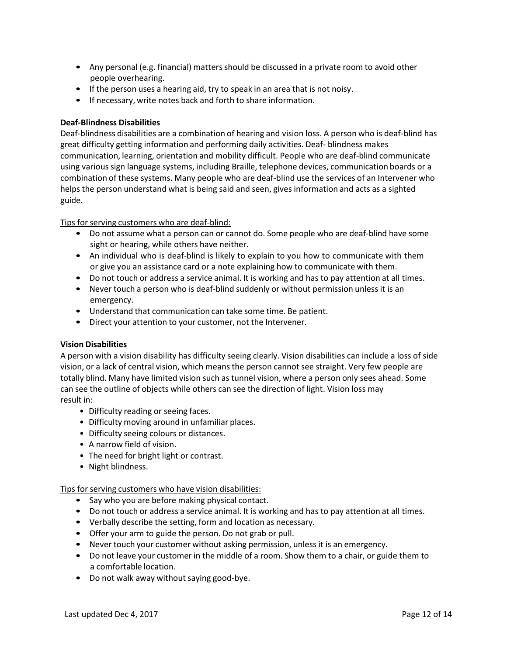- Any personal (e.g. financial) matters should be discussed in a private room to avoid other people overhearing.
- If the person uses a hearing aid, try to speak in an area that is not noisy.
- If necessary, write notes back and forth to share information.

# **Deaf-Blindness Disabilities**

Deaf-blindness disabilities are a combination of hearing and vision loss. A person who is deaf-blind has great difficulty getting information and performing daily activities. Deaf- blindness makes communication, learning, orientation and mobility difficult. People who are deaf-blind communicate using varioussign language systems, including Braille, telephone devices, communication boards or a combination of these systems. Many people who are deaf-blind use the services of an Intervener who helps the person understand what is being said and seen, gives information and acts as a sighted guide.

# Tips for serving customers who are deaf-blind:

- Do not assume what a person can or cannot do. Some people who are deaf-blind have some sight or hearing, while others have neither.
- An individual who is deaf-blind is likely to explain to you how to communicate with them or give you an assistance card or a note explaining how to communicate with them.
- Do not touch or address a service animal. It is working and has to pay attention at all times.
- Never touch a person who is deaf-blind suddenly or without permission unless it is an emergency.
- Understand that communication can take some time. Be patient.
- Direct your attention to your customer, not the Intervener.

# **Vision Disabilities**

A person with a vision disability has difficulty seeing clearly. Vision disabilities can include a loss of side vision, or a lack of central vision, which means the person cannot see straight. Very few people are totally blind. Many have limited vision such as tunnel vision, where a person only sees ahead. Some can see the outline of objects while others can see the direction of light. Vision loss may result in:

- Difficulty reading or seeing faces.
- Difficulty moving around in unfamiliar places.
- Difficulty seeing colours or distances.
- A narrow field of vision.
- The need for bright light or contrast.
- Night blindness.

Tips for serving customers who have vision disabilities:

- Say who you are before making physical contact.
- Do not touch or address a service animal. It is working and has to pay attention at all times.
- Verbally describe the setting, form and location as necessary.
- Offer your arm to guide the person. Do not grab or pull.
- Never touch your customer without asking permission, unless it is an emergency.
- Do not leave your customer in the middle of a room. Show them to a chair, or guide them to a comfortable location.
- Do not walk away without saying good-bye.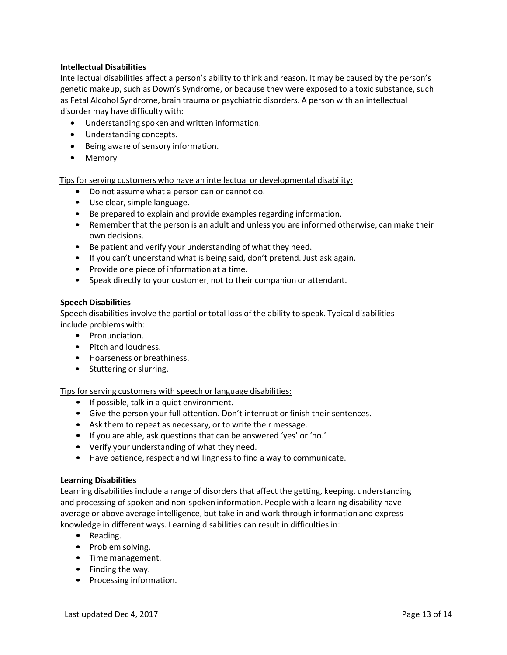# **Intellectual Disabilities**

Intellectual disabilities affect a person's ability to think and reason. It may be caused by the person's genetic makeup, such as Down's Syndrome, or because they were exposed to a toxic substance, such as Fetal Alcohol Syndrome, brain trauma or psychiatric disorders. A person with an intellectual disorder may have difficulty with:

- Understanding spoken and written information.
- Understanding concepts.
- Being aware of sensory information.
- Memory

Tips for serving customers who have an intellectual or developmental disability:

- Do not assume what a person can or cannot do.
- Use clear, simple language.
- Be prepared to explain and provide examples regarding information.
- Remember that the person is an adult and unless you are informed otherwise, can make their own decisions.
- Be patient and verify your understanding of what they need.
- If you can't understand what is being said, don't pretend. Just ask again.
- Provide one piece of information at a time.
- Speak directly to your customer, not to their companion or attendant.

## **Speech Disabilities**

Speech disabilities involve the partial or total loss of the ability to speak. Typical disabilities include problems with:

- Pronunciation.
- Pitch and loudness.
- Hoarseness or breathiness.
- Stuttering or slurring.

Tips for serving customers with speech or language disabilities:

- If possible, talk in a quiet environment.
- Give the person your full attention. Don't interrupt or finish their sentences.
- Ask them to repeat as necessary, or to write their message.
- If you are able, ask questions that can be answered 'yes' or 'no.'
- Verify your understanding of what they need.
- Have patience, respect and willingness to find a way to communicate.

## **Learning Disabilities**

Learning disabilities include a range of disorders that affect the getting, keeping, understanding and processing of spoken and non-spoken information. People with a learning disability have average or above average intelligence, but take in and work through information and express knowledge in different ways. Learning disabilities can result in difficulties in:

- Reading.
- Problem solving.
- Time management.
- Finding the way.
- Processing information.